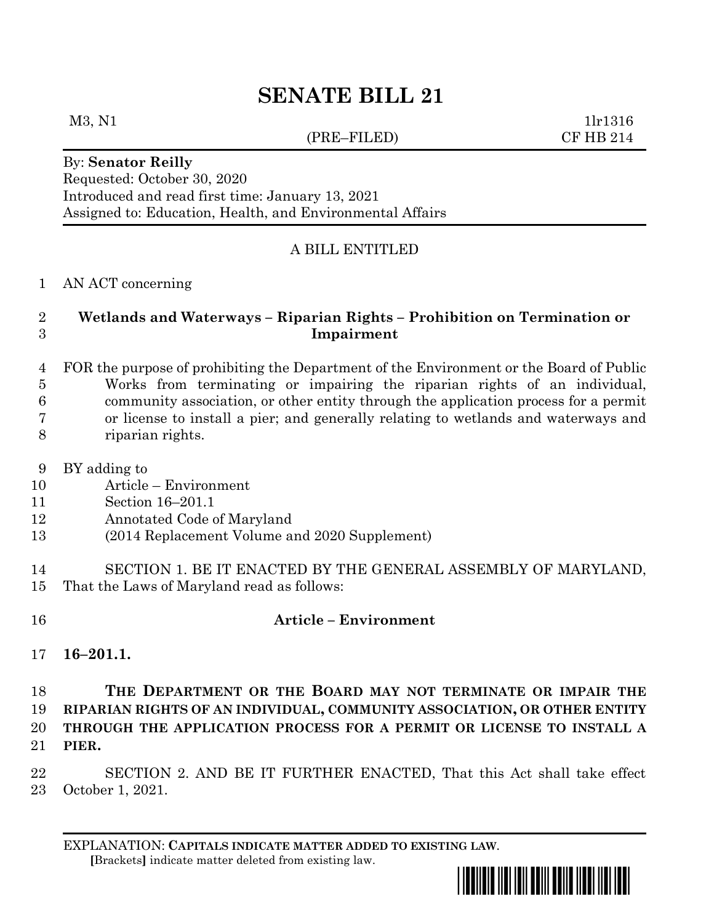# **SENATE BILL 21**

#### (PRE–FILED) CF HB 214

 $M3, N1$  1lr1316

By: **Senator Reilly** Requested: October 30, 2020 Introduced and read first time: January 13, 2021 Assigned to: Education, Health, and Environmental Affairs

# A BILL ENTITLED

#### AN ACT concerning

# **Wetlands and Waterways – Riparian Rights – Prohibition on Termination or Impairment**

 FOR the purpose of prohibiting the Department of the Environment or the Board of Public Works from terminating or impairing the riparian rights of an individual, community association, or other entity through the application process for a permit or license to install a pier; and generally relating to wetlands and waterways and riparian rights.

- BY adding to
- Article Environment
- Section 16–201.1
- Annotated Code of Maryland
- (2014 Replacement Volume and 2020 Supplement)
- SECTION 1. BE IT ENACTED BY THE GENERAL ASSEMBLY OF MARYLAND, That the Laws of Maryland read as follows:
- 

# **Article – Environment**

**16–201.1.**

# **THE DEPARTMENT OR THE BOARD MAY NOT TERMINATE OR IMPAIR THE RIPARIAN RIGHTS OF AN INDIVIDUAL, COMMUNITY ASSOCIATION, OR OTHER ENTITY THROUGH THE APPLICATION PROCESS FOR A PERMIT OR LICENSE TO INSTALL A PIER.**

 SECTION 2. AND BE IT FURTHER ENACTED, That this Act shall take effect October 1, 2021.

EXPLANATION: **CAPITALS INDICATE MATTER ADDED TO EXISTING LAW**.  **[**Brackets**]** indicate matter deleted from existing law.